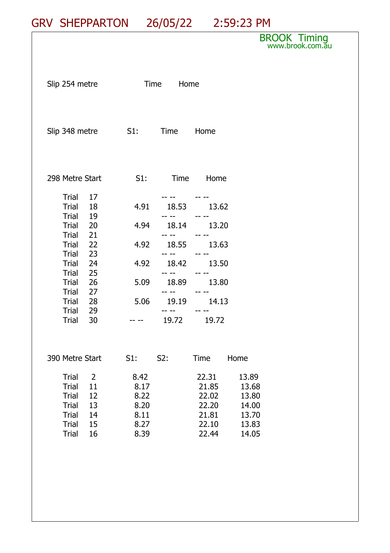## GRV SHEPPARTON 26/05/22 2:59:23 PM

## BROOK Timing www.brook.com.<del>a</del>u

| Slip 254 metre                                                                                                                                                                                                                              | Time Home                                                      |                                           |                                                                         |                                                                     |  |
|---------------------------------------------------------------------------------------------------------------------------------------------------------------------------------------------------------------------------------------------|----------------------------------------------------------------|-------------------------------------------|-------------------------------------------------------------------------|---------------------------------------------------------------------|--|
| Slip 348 metre 51: Time Home                                                                                                                                                                                                                |                                                                |                                           |                                                                         |                                                                     |  |
| 298 Metre Start                                                                                                                                                                                                                             | S1:                                                            |                                           | Time Home                                                               |                                                                     |  |
| Trial 17<br>Trial<br>18<br>Trial 19<br><b>Trial</b><br>$\overline{20}$<br>21<br>Trial<br>Trial<br>22<br>23<br>Trial<br>Trial 24<br><b>Trial</b><br>25<br>26<br>Trial<br><b>Trial</b><br>27<br>Trial<br>28<br>Trial 29<br><b>Trial</b><br>30 | 4.91<br>4.94<br>4.92<br>4.92<br>5.09<br>5.06                   | 18.53<br>18.14<br>18.55<br>18.42<br>18.89 | 13.62<br>13.20<br>13.63<br>13.50<br>13.80<br>19.19 14.13<br>19.72 19.72 |                                                                     |  |
| 390 Metre Start<br>$\overline{2}$<br>Trial<br><b>Trial</b><br>11<br>12<br><b>Trial</b><br>13<br><b>Trial</b><br><b>Trial</b><br>14<br>15<br><b>Trial</b><br><b>Trial</b><br>16                                                              | $S1$ :<br>8.42<br>8.17<br>8.22<br>8.20<br>8.11<br>8.27<br>8.39 | S2:                                       | Time<br>22.31<br>21.85<br>22.02<br>22.20<br>21.81<br>22.10<br>22.44     | Home<br>13.89<br>13.68<br>13.80<br>14.00<br>13.70<br>13.83<br>14.05 |  |